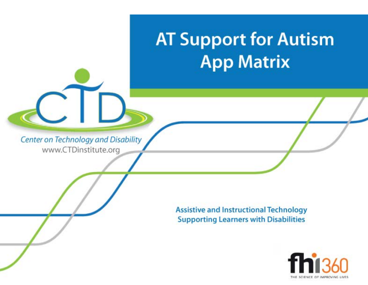# **AT Support for Autism App Matrix**

Center on Technology and Disability www.CTDinstitute.org

> **Assistive and Instructional Technology Supporting Learners with Disabilities**

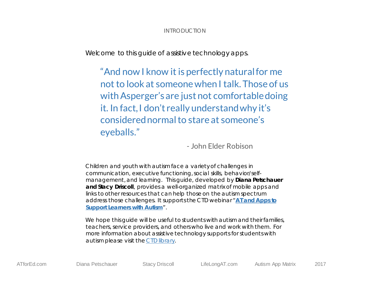# INTRODUCTION

Welcome to this guide of assistive technology apps.

"And now I know it is perfectly naturalfor me not to look at someone when I talk. Those of us with Asperger's are just not comfortable doing it. In fact, I don't really understand why it's considered normal to stare at someone's eyeballs."

- John Elder Robison

Children and youth with autism face a variety of challenges in communication, executive functioning, social skills, behavior/selfmanagement, and learning. This guide, developed by **Diana Petschauer and Stacy Driscoll**, provides a well-organized matrix of mobile apps and links to other resources that can help those on the autism spectrum address those challenges. It supports the CTD webinar "**[AT and Apps to](http://ctdinstitute.org/library/2017-04-06/and-apps-support-learners-autism)  [Support Learners with Autism](http://ctdinstitute.org/library/2017-04-06/and-apps-support-learners-autism)**".

We hope this quide will be useful to students with autism and their families, teachers, service providers, and others who live and work with them. For more information about assistive technology supports for students with autism please visit th[e CTD library.](http://ctdinstitute.org/library)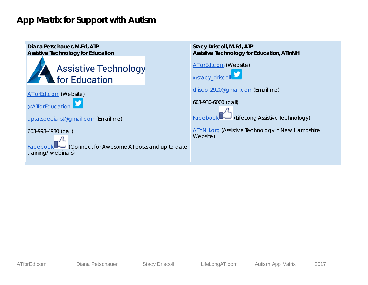# **App Matrix for Support with Autism**

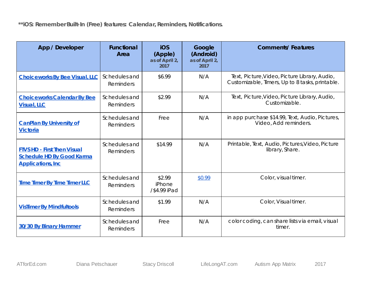**\*\*iOS: Remember Built-In (Free) features: Calendar, Reminders, Notifications.** 

| App / Developer                                                                                     | <b>Functional</b><br>Area         | iOS<br>(Apple)<br>as of April 2,<br>2017 | Google<br>(Android)<br>as of April 2,<br>2017 | <b>Comments/Features</b>                                                                         |
|-----------------------------------------------------------------------------------------------------|-----------------------------------|------------------------------------------|-----------------------------------------------|--------------------------------------------------------------------------------------------------|
| <b>Choiceworks By Bee Visual, LLC</b>                                                               | Schedules and<br>Reminders        | \$6.99                                   | N/A                                           | Text, Picture, Video, Picture Library, Audio,<br>Customizable, Timers, Up to 8 tasks, printable. |
| <b>Choiceworks Calendar By Bee</b><br><b>Visual, LLC</b>                                            | Schedules and<br>Reminders        | \$2.99                                   | N/A                                           | Text, Picture, Video, Picture Library, Audio,<br>Customizable.                                   |
| <b>CanPlan By University of</b><br><b>Victoria</b>                                                  | Schedules and<br>Reminders        | Free                                     | N/A                                           | in app purchase \$14.99, Text, Audio, Pictures,<br>Video, Add reminders.                         |
| <b>FTVS HD - First Then Visual</b><br><b>Schedule HD By Good Karma</b><br><b>Applications, Inc.</b> | Schedules and<br>Reminders        | \$14.99                                  | N/A                                           | Printable, Text, Audio, Pictures, Video, Picture<br>library, Share.                              |
| <b>Time Timer By Time Timer LLC</b>                                                                 | Schedules and<br><b>Reminders</b> | \$2.99<br>iPhone<br>/\$4.99 iPad         | \$0.99                                        | Color, visual timer.                                                                             |
| <b>VisTimer By Mindfultools</b>                                                                     | Schedules and<br>Reminders        | \$1.99                                   | N/A                                           | Color, Visual timer.                                                                             |
| 30/30 By Binary Hammer                                                                              | Schedules and<br>Reminders        | Free                                     | N/A                                           | color coding, can share lists via email, visual<br>timer.                                        |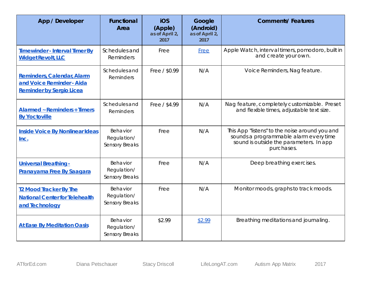| App / Developer                                                                                   | <b>Functional</b><br>Area                 | <b>iOS</b><br>(Apple)<br>as of April 2,<br>2017 | Google<br>(Android)<br>as of April 2,<br>2017 | <b>Comments/Features</b>                                                                                                                          |
|---------------------------------------------------------------------------------------------------|-------------------------------------------|-------------------------------------------------|-----------------------------------------------|---------------------------------------------------------------------------------------------------------------------------------------------------|
| Timewinder - Interval Timer By<br><b>Widget Revolt, LLC</b>                                       | Schedules and<br>Reminders                | Free                                            | <b>Free</b>                                   | Apple Watch, interval timers, pomodoro, built in<br>and create your own.                                                                          |
| <b>Reminders, Calendar, Alarm</b><br>and Voice Reminder - Aida<br><b>Reminder by Sergio Licea</b> | Schedules and<br>Reminders                | Free / \$0.99                                   | N/A                                           | Voice Reminders, Nag feature.                                                                                                                     |
| <b>Alarmed ~ Reminders + Timers</b><br><b>By Yoctoville</b>                                       | Schedules and<br>Reminders                | Free / \$4.99                                   | N/A                                           | Nag feature, completely customizable. Preset<br>and flexible times, adjustable text size.                                                         |
| <b>Inside Voice By Nonlinear Ideas</b><br>Inc.                                                    | Behavior<br>Regulation/<br>Sensory Breaks | Free                                            | N/A                                           | This App "listens" to the noise around you and<br>sounds a programmable alarm every time<br>sound is outside the parameters. In app<br>purchases. |
| Universal Breathing -<br>Pranayama Free By Saagara                                                | Behavior<br>Regulation/<br>Sensory Breaks | Free                                            | N/A                                           | Deep breathing exercises.                                                                                                                         |
| <b>T2 Mood Tracker By The</b><br><b>National Center for Telehealth</b><br>and Technology          | Behavior<br>Regulation/<br>Sensory Breaks | Free                                            | N/A                                           | Monitor moods, graphs to track moods.                                                                                                             |
| <b>At Ease By Meditation Oasis</b>                                                                | Behavior<br>Regulation/<br>Sensory Breaks | \$2.99                                          | \$2.99                                        | Breathing meditations and journaling.                                                                                                             |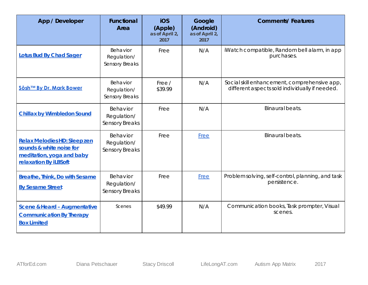| App / Developer                                                                                                | <b>Functional</b><br>Area                 | iOS<br>(Apple)<br>as of April 2,<br>2017 | Google<br>(Android)<br>as of April 2,<br>2017 | <b>Comments/Features</b>                                                                       |
|----------------------------------------------------------------------------------------------------------------|-------------------------------------------|------------------------------------------|-----------------------------------------------|------------------------------------------------------------------------------------------------|
| <b>Lotus Bud By Chad Sager</b>                                                                                 | Behavior<br>Regulation/<br>Sensory Breaks | Free                                     | N/A                                           | iWatch compatible, Random bell alarm, in app<br>purchases.                                     |
| Sōsh™ By Dr. Mark Bower                                                                                        | Behavior<br>Regulation/<br>Sensory Breaks | Free /<br>\$39.99                        | N/A                                           | Social skill enhancement, comprehensive app,<br>different aspects sold individually if needed. |
| <b>Chillax by Wimbledon Sound</b>                                                                              | Behavior<br>Regulation/<br>Sensory Breaks | Free                                     | N/A                                           | Binaural beats.                                                                                |
| Relax Melodies HD: Sleep zen<br>sounds & white noise for<br>meditation, yoga and baby<br>relaxation By iLBSoft | Behavior<br>Regulation/<br>Sensory Breaks | Free                                     | Free                                          | Binaural beats.                                                                                |
| <b>Breathe, Think, Do with Sesame</b><br><b>By Sesame Street</b>                                               | Behavior<br>Regulation/<br>Sensory Breaks | Free                                     | <b>Free</b>                                   | Problem solving, self-control, planning, and task<br>persistence.                              |
| <b>Scene &amp; Heard - Augmentative</b><br><b>Communication By Therapy</b><br><b>Box Limited</b>               | Scenes                                    | \$49.99                                  | N/A                                           | Communication books, Task prompter, Visual<br>scenes.                                          |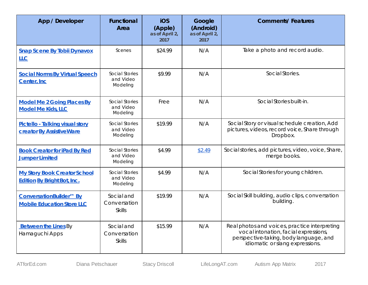| App / Developer                                                           | <b>Functional</b><br>Area                   | iOS<br>(Apple)<br>as of April 2,<br>2017 | Google<br>(Android)<br>as of April 2,<br>2017 | <b>Comments/Features</b>                                                                                                                                            |
|---------------------------------------------------------------------------|---------------------------------------------|------------------------------------------|-----------------------------------------------|---------------------------------------------------------------------------------------------------------------------------------------------------------------------|
| <b>Snap Scene By Tobii Dynavox</b><br>$L_{\mathsf{L}\mathsf{C}}$          | Scenes                                      | \$24.99                                  | N/A                                           | Take a photo and record audio.                                                                                                                                      |
| <b>Social Norms By Virtual Speech</b><br>Center, Inc.                     | Social Stories<br>and Video<br>Modeling     | \$9.99                                   | N/A                                           | Social Stories.                                                                                                                                                     |
| <b>Model Me 2 Going Places By</b><br><b>Model Me Kids, LLC</b>            | Social Stories<br>and Video<br>Modeling     | Free                                     | N/A                                           | Social Stories built-in.                                                                                                                                            |
| Pictello - Talking visual story<br><b>creator By AssistiveWare</b>        | Social Stories<br>and Video<br>Modeling     | \$19.99                                  | N/A                                           | Social Story or visual schedule creation, Add<br>pictures, videos, record voice, Share through<br>Dropbox.                                                          |
| <b>Book Creator for iPad By Red</b><br><b>Jumper Limited</b>              | Social Stories<br>and Video<br>Modeling     | \$4.99                                   | \$2.49                                        | Social stories, add pictures, video, voice, Share,<br>merge books.                                                                                                  |
| <b>My Story Book Creator School</b><br><b>Edition By Bright Bot, Inc.</b> | Social Stories<br>and Video<br>Modeling     | \$4.99                                   | N/A                                           | Social Stories for young children.                                                                                                                                  |
| ConversationBuilder™ By<br><b>Mobile Education Store LLC</b>              | Social and<br>Conversation<br><b>Skills</b> | \$19.99                                  | N/A                                           | Social Skill building, audio clips, conversation<br>building.                                                                                                       |
| <b>Between the Lines By</b><br>Hamaguchi Apps                             | Social and<br>Conversation<br><b>Skills</b> | \$15.99                                  | N/A                                           | Real photos and voices, practice interpreting<br>vocal intonation, facial expressions,<br>perspective-taking, body language, and<br>idiomatic or slang expressions. |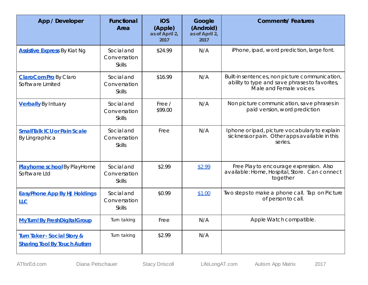| App / Developer                                                               | <b>Functional</b><br><b>Area</b>            | iOS<br>(Apple)<br>as of April 2,<br>2017 | Google<br>(Android)<br>as of April 2,<br>2017 | <b>Comments/Features</b>                                                                                                    |
|-------------------------------------------------------------------------------|---------------------------------------------|------------------------------------------|-----------------------------------------------|-----------------------------------------------------------------------------------------------------------------------------|
| <b>Assistive Express</b> By Kiat Ng                                           | Social and<br>Conversation<br><b>Skills</b> | \$24.99                                  | N/A                                           | iPhone, ipad, word prediction, large font.                                                                                  |
| ClaroComPro By Claro<br>Software Limited                                      | Social and<br>Conversation<br><b>Skills</b> | \$16.99                                  | N/A                                           | Built-in sentences, non picture communication,<br>ability to type and save phrases to favorites,<br>Male and Female voices. |
| <b>Verbally</b> By Intuary                                                    | Social and<br>Conversation<br><b>Skills</b> | Free /<br>\$99.00                        | N/A                                           | Non picture communication, save phrases in<br>paid version, word prediction                                                 |
| <b>SmallTalk ICU or Pain Scale</b><br><b>By Lingraphica</b>                   | Social and<br>Conversation<br><b>Skills</b> | Free                                     | N/A                                           | Iphone or ipad, picture vocabulary to explain<br>sickness or pain. Other apps available in this<br>series.                  |
| Playhome school By PlayHome<br>Software Ltd                                   | Social and<br>Conversation<br><b>Skills</b> | \$2.99                                   | \$2.99                                        | Free Play to encourage expression. Also<br>available: Home, Hospital, Store. Can connect<br>together                        |
| <b>EasyPhone App By HJ Holdings</b><br><b>LLC</b>                             | Social and<br>Conversation<br><b>Skills</b> | \$0.99                                   | \$1.00                                        | Two steps to make a phone call. Tap on Picture<br>of person to call.                                                        |
| <b>MyTurn! By FreshDigitalGroup</b>                                           | Turn taking                                 | Free                                     | N/A                                           | Apple Watch compatible.                                                                                                     |
| <b>Turn Taker - Social Story &amp;</b><br><b>Sharing Tool By Touch Autism</b> | Turn taking                                 | \$2.99                                   | N/A                                           |                                                                                                                             |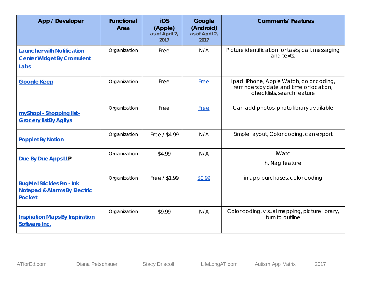| App / Developer                                                                              | <b>Functional</b><br>Area | <b>iOS</b><br>(Apple)<br>as of April 2,<br>2017 | Google<br>(Android)<br>as of April 2,<br>2017 | <b>Comments/Features</b>                                                                                          |
|----------------------------------------------------------------------------------------------|---------------------------|-------------------------------------------------|-----------------------------------------------|-------------------------------------------------------------------------------------------------------------------|
| <b>Launcher with Notification</b><br><b>Center Widget By Cromulent</b><br>Labs               | Organization              | Free                                            | N/A                                           | Picture identification for tasks, call, messaging<br>and texts.                                                   |
| <b>Google Keep</b>                                                                           | Organization              | Free                                            | Free                                          | Ipad, iPhone, Apple Watch, color coding,<br>reminders by date and time or location,<br>checklists, search feature |
| myShopi - Shopping list -<br><b>Grocery list By Agilys</b>                                   | Organization              | Free                                            | <b>Free</b>                                   | Can add photos, photo library available                                                                           |
| <b>Popplet By Notion</b>                                                                     | Organization              | Free / \$4.99                                   | N/A                                           | Simple layout, Color coding, can export                                                                           |
| Due By Due Apps LLP                                                                          | Organization              | \$4.99                                          | N/A                                           | iWatc<br>h, Nag feature                                                                                           |
| <b>BugMe! Stickies Pro - Ink</b><br><b>Notepad &amp; Alarms By Electric</b><br><b>Pocket</b> | Organization              | Free / \$1.99                                   | \$0.99                                        | in app purchases, color coding                                                                                    |
| <b>Inspiration Maps By Inspiration</b><br>Software Inc.                                      | Organization              | \$9.99                                          | N/A                                           | Color coding, visual mapping, picture library,<br>turn to outline                                                 |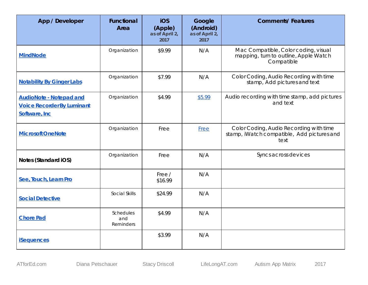| App / Developer                                                                      | <b>Functional</b><br>Area     | iOS<br>(Apple)<br>as of April 2,<br>2017 | Google<br>(Android)<br>as of April 2,<br>2017 | <b>Comments/Features</b>                                                                      |
|--------------------------------------------------------------------------------------|-------------------------------|------------------------------------------|-----------------------------------------------|-----------------------------------------------------------------------------------------------|
| <b>MindNode</b>                                                                      | Organization                  | \$9.99                                   | N/A                                           | Mac Compatible, Color coding, visual<br>mapping, turn to outline, Apple Watch<br>Compatible   |
| <b>Notability By Ginger Labs</b>                                                     | Organization                  | \$7.99                                   | N/A                                           | Color Coding, Audio Recording with time<br>stamp, Add pictures and text                       |
| <b>AudioNote - Notepad and</b><br><b>Voice Recorder By Luminant</b><br>Software, Inc | Organization                  | \$4.99                                   | \$5.99                                        | Audio recording with time stamp, add pictures<br>and text                                     |
| <b>Microsoft OneNote</b>                                                             | Organization                  | Free                                     | <b>Free</b>                                   | Color Coding, Audio Recording with time<br>stamp, iWatch compatible, Add pictures and<br>text |
| Notes (Standard iOS)                                                                 | Organization                  | Free                                     | N/A                                           | Syncs across devices                                                                          |
| See, Touch, Learn Pro                                                                |                               | Free /<br>\$16.99                        | N/A                                           |                                                                                               |
| <b>Social Detective</b>                                                              | Social Skills                 | \$24.99                                  | N/A                                           |                                                                                               |
| <b>Chore Pad</b>                                                                     | Schedules<br>and<br>Reminders | \$4.99                                   | N/A                                           |                                                                                               |
| <b>iSequences</b>                                                                    |                               | \$3.99                                   | N/A                                           |                                                                                               |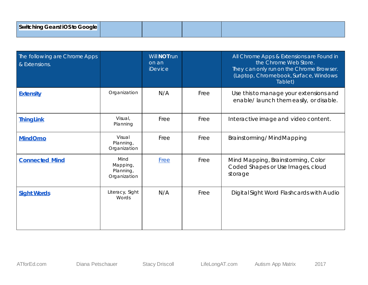| The following are Chrome Apps<br>& Extensions. |                                               | Will <b>NOT</b> run<br>on an<br><i>iDevice</i> |      | All Chrome Apps & Extensions are Found in<br>the Chrome Web Store.<br>They can only run on the Chrome Browser.<br>(Laptop, Chromebook, Surface, Windows<br>Tablet) |
|------------------------------------------------|-----------------------------------------------|------------------------------------------------|------|--------------------------------------------------------------------------------------------------------------------------------------------------------------------|
| <b>Extensity</b>                               | Organization                                  | N/A                                            | Free | Use this to manage your extensions and<br>enable/ launch them easily, or disable.                                                                                  |
| <b>ThingLink</b>                               | Visual,<br>Planning                           | Free                                           | Free | Interactive image and video content.                                                                                                                               |
| <b>MindOmo</b>                                 | Visual<br>Planning,<br>Organization           | Free                                           | Free | Brainstorming/MindMapping                                                                                                                                          |
| <b>Connected Mind</b>                          | Mind<br>Mapping,<br>Planning,<br>Organization | Free                                           | Free | Mind Mapping, Brainst orming, Color<br>Coded Shapes or Use Images, cloud<br>storage                                                                                |
| <b>Sight Words</b>                             | Literacy, Sight<br>Words                      | N/A                                            | Free | Digital Sight Word Flashcards with Audio                                                                                                                           |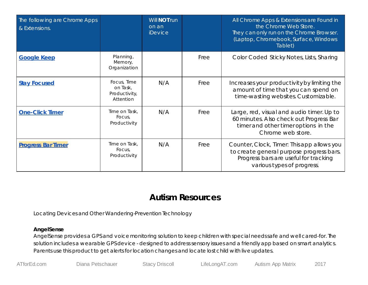| The following are Chrome Apps<br>& Extensions. |                                                       | Will <b>NOT</b> run<br>on an<br><i>iDevice</i> |      | All Chrome Apps & Extensions are Found in<br>the Chrome Web Store.<br>They can only run on the Chrome Browser.<br>(Laptop, Chromebook, Surface, Windows<br>Tablet) |
|------------------------------------------------|-------------------------------------------------------|------------------------------------------------|------|--------------------------------------------------------------------------------------------------------------------------------------------------------------------|
| <b>Google Keep</b>                             | Planning,<br>Memory,<br>Organization                  |                                                | Free | Color Coded Sticky Notes, Lists, Sharing                                                                                                                           |
| <b>Stay Focused</b>                            | Focus, Time<br>on Task,<br>Productivity,<br>Attention | N/A                                            | Free | Increases your productivity by limiting the<br>amount of time that you can spend on<br>time-wasting websites. Customizable.                                        |
| <b>One-Click Timer</b>                         | Time on Task,<br>Focus.<br>Productivity               | N/A                                            | Free | Large, red, visual and audio timer. Up to<br>60 minutes. Also check out Progress Bar<br>timer and other timer options in the<br>Chrome web store.                  |
| <b>Progress Bar Timer</b>                      | Time on Task,<br>Focus,<br>Productivity               | N/A                                            | Free | Counter, Clock, Timer: This app allows you<br>to create general purpose progress bars.<br>Progress bars are useful for tracking<br>various types of progress.      |

# **Autism Resources**

Locating Devices and Other Wandering-Prevention Technology

# **AngelSense**

AngelSense provides a GPS and voice monitoring solution to keep children with special needs safe and well cared-for. The solution includes a wearable GPS device - designed to address sensory issues and a friendly app based on smart analytics. Parents use this product to get alerts for location changes and locate lost child with live updates.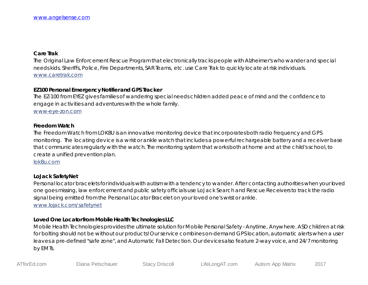#### **Care Trak**

The Original Law Enforcement Rescue Program that electronically tracks people with Alzheimer's who wander and special needs kids. Sheriffs, Police, Fire Departments, SAR Teams, etc. use Care Trak to quickly locate at risk individuals. [www.caretrak.com](http://www.caretrak.com/)

## **EZ100 Personal Emergency Notifier and GPS Tracker**

The EZ-100 from EYEZ gives families of wandering special needs children added peace of mind and the confidence to engage in activities and adventures with the whole family.

[www-eye-zon.com](http://www.eye-zon.com/EYEZON2010/autism-community.html)

#### **Freedom Watch**

The Freedom Watch from LOK8U is an innovative monitoring device that incorporates both radio frequency and GPS monitoring. The locating device is a wrist or ankle watch that includes a powerful rechargeable battery and a receiver base that communicates regularly with the watch. The monitoring system that works both at home and at the child's school, to create a unified prevention plan.

[lok8u.com](http://www.lok8u.com/num8/)

# **LoJack SafetyNet**

Personal locator bracelets for individuals with autism with a tendency to wander. After contacting authorities when your loved one goes missing, law enforcement and public safety officials use LoJack Search and Rescue Receivers to track the radio signal being emitted from the Personal Locator Bracelet on your loved one's wrist or ankle. [www.lojack.com/safetynet](http://www.lojack.com/safetynet/Pages/index.aspx)

### **Loved One Locator from Mobile Health Technologies LLC**

Mobile Health Technologies provides the ultimate solution for Mobile Personal Safety - Anytime, Anywhere. ASD children at risk for bolting should not be without our products! Our service combines on-demand GPS location, automatic alerts when a user leaves a pre-defined "safe zone", and Automatic Fall Detection. Our devices also feature 2-way voice, and 24/7 monitoring by EMTs.